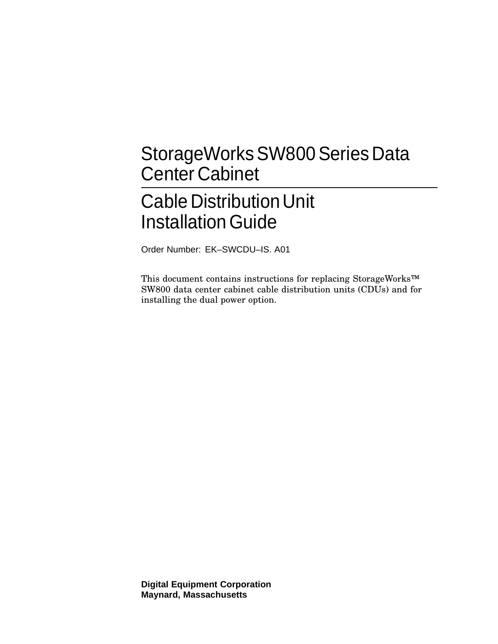## StorageWorks SW800 Series Data Center Cabinet

# Cable Distribution Unit **Installation Guide**

Order Number: EK–SWCDU–IS. A01

This document contains instructions for replacing StorageWorks™ SW800 data center cabinet cable distribution units (CDUs) and for installing the dual power option.

**Digital Equipment Corporation Maynard, Massachusetts**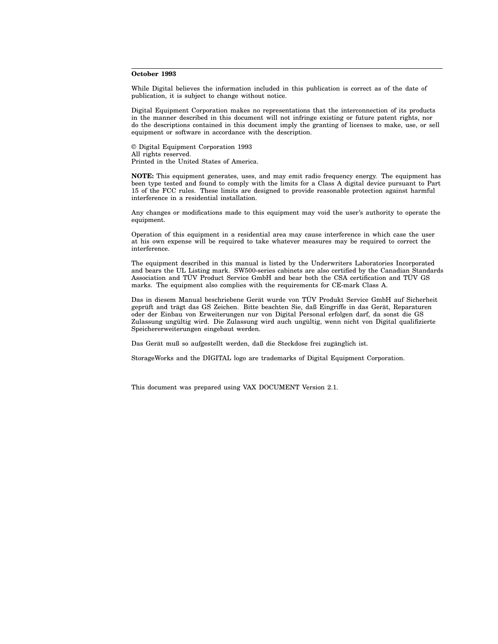#### **October 1993**

While Digital believes the information included in this publication is correct as of the date of publication, it is subject to change without notice.

Digital Equipment Corporation makes no representations that the interconnection of its products in the manner described in this document will not infringe existing or future patent rights, nor do the descriptions contained in this document imply the granting of licenses to make, use, or sell equipment or software in accordance with the description.

© Digital Equipment Corporation 1993 All rights reserved. Printed in the United States of America.

**NOTE:** This equipment generates, uses, and may emit radio frequency energy. The equipment has been type tested and found to comply with the limits for a Class A digital device pursuant to Part 15 of the FCC rules. These limits are designed to provide reasonable protection against harmful interference in a residential installation.

Any changes or modifications made to this equipment may void the user's authority to operate the equipment.

Operation of this equipment in a residential area may cause interference in which case the user at his own expense will be required to take whatever measures may be required to correct the interference.

The equipment described in this manual is listed by the Underwriters Laboratories Incorporated and bears the UL Listing mark. SW500-series cabinets are also certified by the Canadian Standards Association and TÜV Product Service GmbH and bear both the CSA certification and TÜV GS marks. The equipment also complies with the requirements for CE-mark Class A.

Das in diesem Manual beschriebene Gerät wurde von TÜV Produkt Service GmbH auf Sicherheit geprüft and trägt das GS Zeichen. Bitte beachten Sie, daß Eingriffe in das Gerät, Reparaturen oder der Einbau von Erweiterungen nur von Digital Personal erfolgen darf, da sonst die GS Zulassung ungültig wird. Die Zulassung wird auch ungültig, wenn nicht von Digital qualifizierte Speichererweiterungen eingebaut werden.

Das Gerät muß so aufgestellt werden, daß die Steckdose frei zugänglich ist.

StorageWorks and the DIGITAL logo are trademarks of Digital Equipment Corporation.

This document was prepared using VAX DOCUMENT Version 2.1.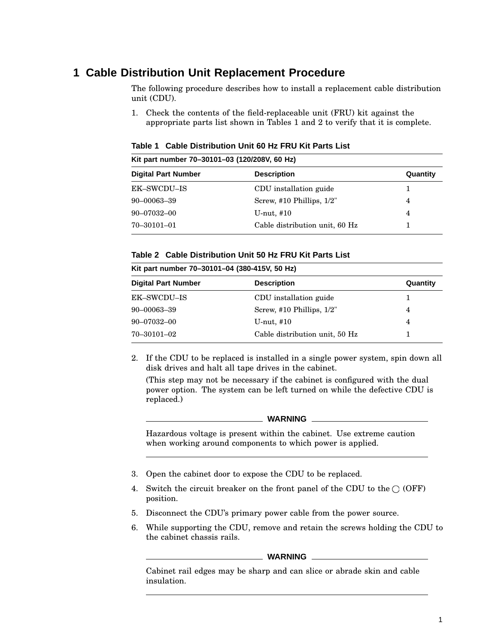## **1 Cable Distribution Unit Replacement Procedure**

The following procedure describes how to install a replacement cable distribution unit (CDU).

1. Check the contents of the field-replaceable unit (FRU) kit against the appropriate parts list shown in Tables 1 and 2 to verify that it is complete.

**Table 1 Cable Distribution Unit 60 Hz FRU Kit Parts List**

| Kit part number 70-30101-03 (120/208V, 60 Hz) |                                |          |  |
|-----------------------------------------------|--------------------------------|----------|--|
| <b>Digital Part Number</b>                    | <b>Description</b>             | Quantity |  |
| <b>EK-SWCDU-IS</b>                            | CDU installation guide         |          |  |
| $90 - 00063 - 39$                             | Screw, #10 Phillips, $1/2$ "   | 4        |  |
| $90 - 07032 - 00$                             | U-nut, $#10$                   | 4        |  |
| $70 - 30101 - 01$                             | Cable distribution unit, 60 Hz |          |  |

#### **Table 2 Cable Distribution Unit 50 Hz FRU Kit Parts List**

**Kit part number 70–30101–04 (380-415V, 50 Hz)**

| <b>Digital Part Number</b> | <b>Description</b>             | Quantity |
|----------------------------|--------------------------------|----------|
| EK-SWCDU-IS                | CDU installation guide         |          |
| $90 - 00063 - 39$          | Screw, #10 Phillips, $1/2$ "   | 4        |
| 90-07032-00                | U-nut, $#10$                   | 4        |
| 70–30101–02                | Cable distribution unit, 50 Hz |          |

2. If the CDU to be replaced is installed in a single power system, spin down all disk drives and halt all tape drives in the cabinet.

(This step may not be necessary if the cabinet is configured with the dual power option. The system can be left turned on while the defective CDU is replaced.)

#### **WARNING**

Hazardous voltage is present within the cabinet. Use extreme caution when working around components to which power is applied.

- 3. Open the cabinet door to expose the CDU to be replaced.
- 4. Switch the circuit breaker on the front panel of the CDU to the  $\bigcirc$  (OFF) position.
- 5. Disconnect the CDU's primary power cable from the power source.
- 6. While supporting the CDU, remove and retain the screws holding the CDU to the cabinet chassis rails.

#### **WARNING**

Cabinet rail edges may be sharp and can slice or abrade skin and cable insulation.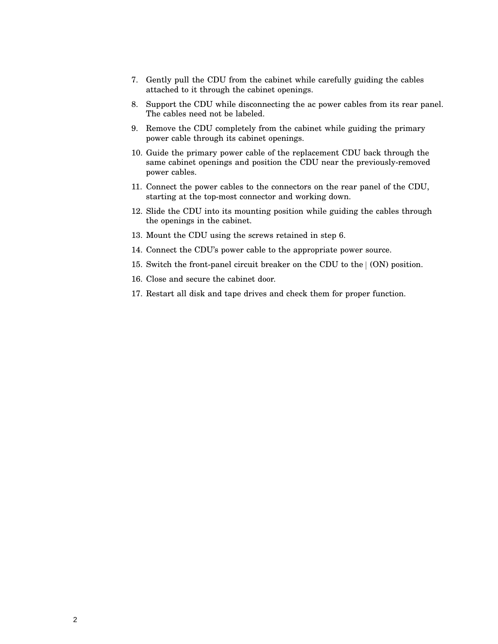- 7. Gently pull the CDU from the cabinet while carefully guiding the cables attached to it through the cabinet openings.
- 8. Support the CDU while disconnecting the ac power cables from its rear panel. The cables need not be labeled.
- 9. Remove the CDU completely from the cabinet while guiding the primary power cable through its cabinet openings.
- 10. Guide the primary power cable of the replacement CDU back through the same cabinet openings and position the CDU near the previously-removed power cables.
- 11. Connect the power cables to the connectors on the rear panel of the CDU, starting at the top-most connector and working down.
- 12. Slide the CDU into its mounting position while guiding the cables through the openings in the cabinet.
- 13. Mount the CDU using the screws retained in step 6.
- 14. Connect the CDU's power cable to the appropriate power source.
- 15. Switch the front-panel circuit breaker on the CDU to the  $(ON)$  position.
- 16. Close and secure the cabinet door.
- 17. Restart all disk and tape drives and check them for proper function.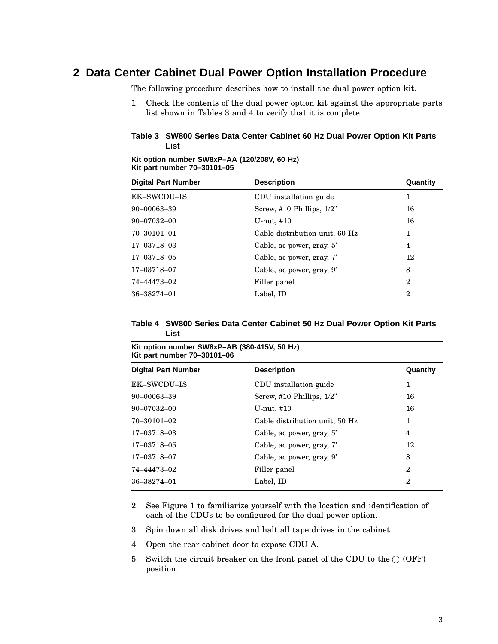### **2 Data Center Cabinet Dual Power Option Installation Procedure**

The following procedure describes how to install the dual power option kit.

1. Check the contents of the dual power option kit against the appropriate parts list shown in Tables 3 and 4 to verify that it is complete.

**Table 3 SW800 Series Data Center Cabinet 60 Hz Dual Power Option Kit Parts List**

**Kit option number SW8xP–AA (120/208V, 60 Hz) Kit part number 70–30101–05**

| <b>Digital Part Number</b> | <b>Description</b>             | Quantity       |  |
|----------------------------|--------------------------------|----------------|--|
| <b>EK-SWCDU-IS</b>         | CDU installation guide         | 1              |  |
| 90-00063-39                | Screw, #10 Phillips, $1/2$ "   | 16             |  |
| $90 - 07032 - 00$          | U-nut, $#10$                   | 16             |  |
| $70 - 30101 - 01$          | Cable distribution unit, 60 Hz | 1              |  |
| 17-03718-03                | Cable, ac power, gray, 5'      | 4              |  |
| 17-03718-05                | Cable, ac power, gray, 7'      | 12             |  |
| 17-03718-07                | Cable, ac power, gray, 9'      | 8              |  |
| 74-44473-02                | Filler panel                   | $\overline{2}$ |  |
| 36-38274-01                | Label, ID                      | $\overline{2}$ |  |
|                            |                                |                |  |

#### **Table 4 SW800 Series Data Center Cabinet 50 Hz Dual Power Option Kit Parts List**

| Kit option number SW8xP-AB (380-415V, 50 Hz)<br>Kit part number 70–30101–06 |                                |                |  |
|-----------------------------------------------------------------------------|--------------------------------|----------------|--|
| <b>Digital Part Number</b>                                                  | <b>Description</b>             | Quantity       |  |
| EK–SWCDU–IS                                                                 | CDU installation guide         | 1              |  |
| 90–00063–39                                                                 | Screw, #10 Phillips, $1/2$ "   | 16             |  |
| 90–07032–00                                                                 | U-nut, $#10$                   | 16             |  |
| 70–30101–02                                                                 | Cable distribution unit, 50 Hz | 1              |  |
| 17-03718-03                                                                 | Cable, ac power, gray, 5'      | 4              |  |
| 17-03718-05                                                                 | Cable, ac power, gray, 7'      | 12             |  |
| 17-03718-07                                                                 | Cable, ac power, gray, 9'      | 8              |  |
| 74–44473–02                                                                 | Filler panel                   | $\overline{2}$ |  |
| 36–38274–01                                                                 | Label, ID                      | $\mathbf 2$    |  |

- 2. See Figure 1 to familiarize yourself with the location and identification of each of the CDUs to be configured for the dual power option.
- 3. Spin down all disk drives and halt all tape drives in the cabinet.
- 4. Open the rear cabinet door to expose CDU A.
- 5. Switch the circuit breaker on the front panel of the CDU to the  $\bigcirc$  (OFF) position.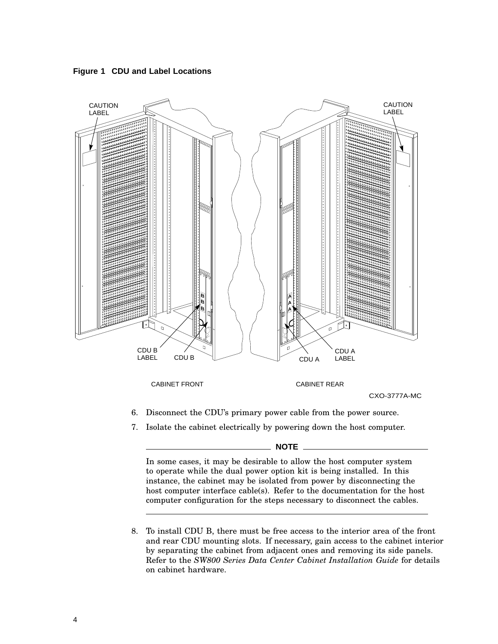



#### **NOTE**

In some cases, it may be desirable to allow the host computer system to operate while the dual power option kit is being installed. In this instance, the cabinet may be isolated from power by disconnecting the host computer interface cable(s). Refer to the documentation for the host computer configuration for the steps necessary to disconnect the cables.

8. To install CDU B, there must be free access to the interior area of the front and rear CDU mounting slots. If necessary, gain access to the cabinet interior by separating the cabinet from adjacent ones and removing its side panels. Refer to the *SW800 Series Data Center Cabinet Installation Guide* for details on cabinet hardware.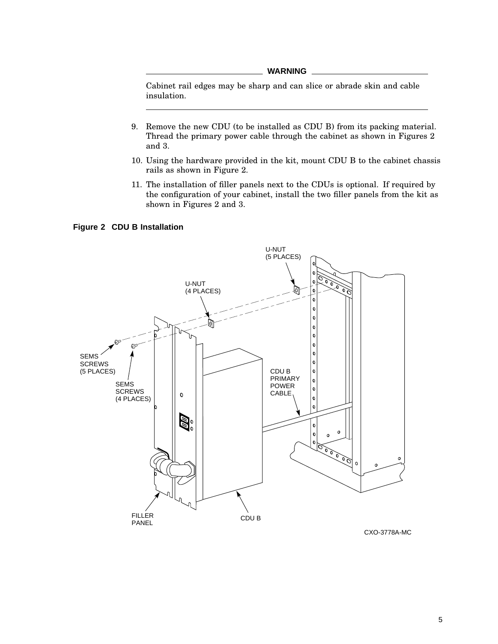#### **WARNING**

Cabinet rail edges may be sharp and can slice or abrade skin and cable insulation.

- 9. Remove the new CDU (to be installed as CDU B) from its packing material. Thread the primary power cable through the cabinet as shown in Figures 2 and 3.
- 10. Using the hardware provided in the kit, mount CDU B to the cabinet chassis rails as shown in Figure 2.
- 11. The installation of filler panels next to the CDUs is optional. If required by the configuration of your cabinet, install the two filler panels from the kit as shown in Figures 2 and 3.

**Figure 2 CDU B Installation**



CXO-3778A-MC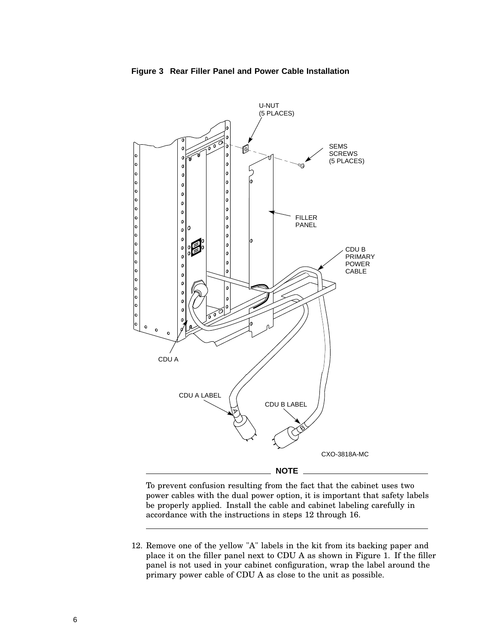

**Figure 3 Rear Filler Panel and Power Cable Installation**

To prevent confusion resulting from the fact that the cabinet uses two power cables with the dual power option, it is important that safety labels be properly applied. Install the cable and cabinet labeling carefully in accordance with the instructions in steps 12 through 16.

12. Remove one of the yellow "A" labels in the kit from its backing paper and place it on the filler panel next to CDU A as shown in Figure 1. If the filler panel is not used in your cabinet configuration, wrap the label around the primary power cable of CDU A as close to the unit as possible.